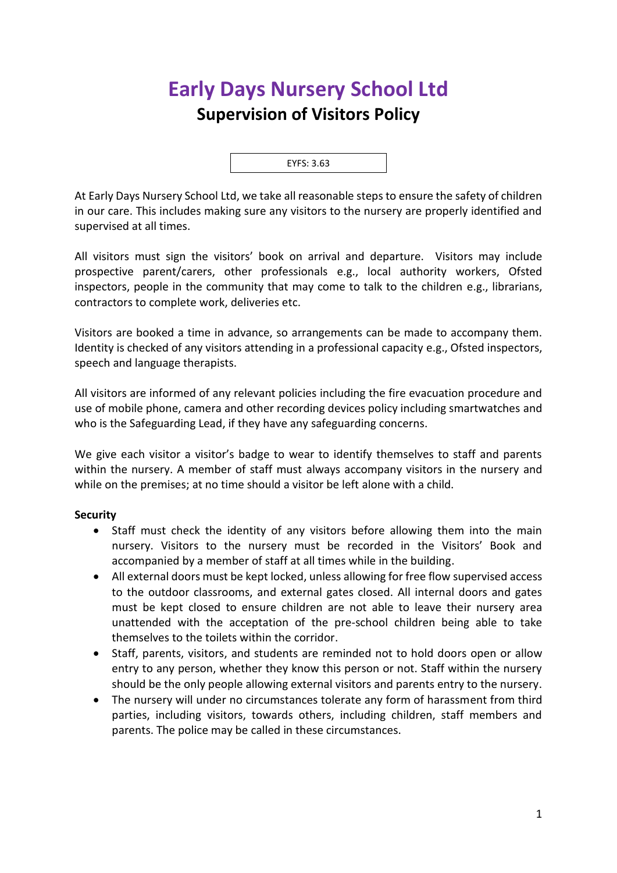## **Early Days Nursery School Ltd Supervision of Visitors Policy**

EYFS: 3.63

At Early Days Nursery School Ltd, we take all reasonable steps to ensure the safety of children in our care. This includes making sure any visitors to the nursery are properly identified and supervised at all times.

All visitors must sign the visitors' book on arrival and departure. Visitors may include prospective parent/carers, other professionals e.g., local authority workers, Ofsted inspectors, people in the community that may come to talk to the children e.g., librarians, contractors to complete work, deliveries etc.

Visitors are booked a time in advance, so arrangements can be made to accompany them. Identity is checked of any visitors attending in a professional capacity e.g., Ofsted inspectors, speech and language therapists.

All visitors are informed of any relevant policies including the fire evacuation procedure and use of mobile phone, camera and other recording devices policy including smartwatches and who is the Safeguarding Lead, if they have any safeguarding concerns.

We give each visitor a visitor's badge to wear to identify themselves to staff and parents within the nursery. A member of staff must always accompany visitors in the nursery and while on the premises; at no time should a visitor be left alone with a child.

## **Security**

- Staff must check the identity of any visitors before allowing them into the main nursery. Visitors to the nursery must be recorded in the Visitors' Book and accompanied by a member of staff at all times while in the building.
- All external doors must be kept locked, unless allowing for free flow supervised access to the outdoor classrooms, and external gates closed. All internal doors and gates must be kept closed to ensure children are not able to leave their nursery area unattended with the acceptation of the pre-school children being able to take themselves to the toilets within the corridor.
- Staff, parents, visitors, and students are reminded not to hold doors open or allow entry to any person, whether they know this person or not. Staff within the nursery should be the only people allowing external visitors and parents entry to the nursery.
- The nursery will under no circumstances tolerate any form of harassment from third parties, including visitors, towards others, including children, staff members and parents. The police may be called in these circumstances.